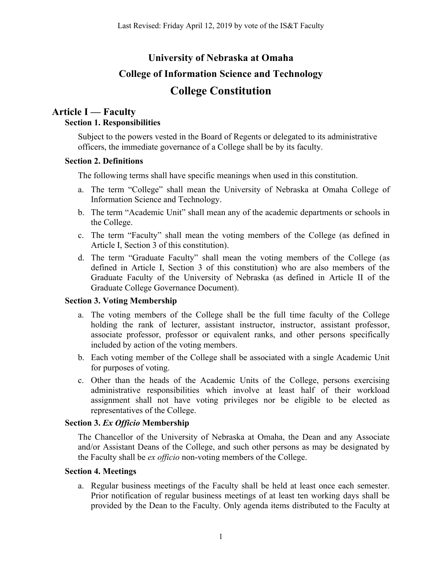# **University of Nebraska at Omaha College of Information Science and Technology College Constitution**

## **Article I — Faculty Section 1. Responsibilities**

Subject to the powers vested in the Board of Regents or delegated to its administrative officers, the immediate governance of a College shall be by its faculty.

### **Section 2. Definitions**

The following terms shall have specific meanings when used in this constitution.

- a. The term "College" shall mean the University of Nebraska at Omaha College of Information Science and Technology.
- b. The term "Academic Unit" shall mean any of the academic departments or schools in the College.
- c. The term "Faculty" shall mean the voting members of the College (as defined in Article I, Section 3 of this constitution).
- d. The term "Graduate Faculty" shall mean the voting members of the College (as defined in Article I, Section 3 of this constitution) who are also members of the Graduate Faculty of the University of Nebraska (as defined in Article II of the Graduate College Governance Document).

### **Section 3. Voting Membership**

- a. The voting members of the College shall be the full time faculty of the College holding the rank of lecturer, assistant instructor, instructor, assistant professor, associate professor, professor or equivalent ranks, and other persons specifically included by action of the voting members.
- b. Each voting member of the College shall be associated with a single Academic Unit for purposes of voting.
- c. Other than the heads of the Academic Units of the College, persons exercising administrative responsibilities which involve at least half of their workload assignment shall not have voting privileges nor be eligible to be elected as representatives of the College.

### **Section 3.** *Ex Officio* **Membership**

The Chancellor of the University of Nebraska at Omaha, the Dean and any Associate and/or Assistant Deans of the College, and such other persons as may be designated by the Faculty shall be *ex officio* non-voting members of the College.

### **Section 4. Meetings**

a. Regular business meetings of the Faculty shall be held at least once each semester. Prior notification of regular business meetings of at least ten working days shall be provided by the Dean to the Faculty. Only agenda items distributed to the Faculty at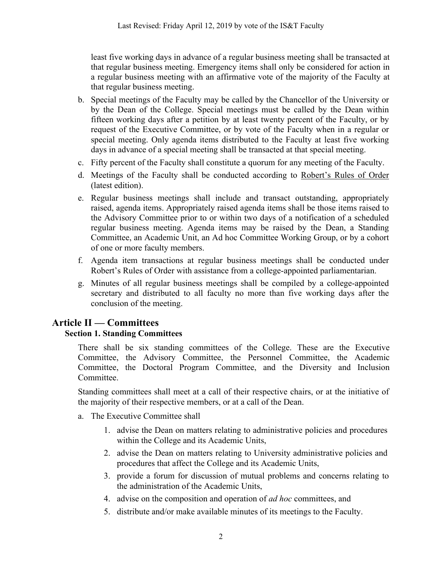least five working days in advance of a regular business meeting shall be transacted at that regular business meeting. Emergency items shall only be considered for action in a regular business meeting with an affirmative vote of the majority of the Faculty at that regular business meeting.

- b. Special meetings of the Faculty may be called by the Chancellor of the University or by the Dean of the College. Special meetings must be called by the Dean within fifteen working days after a petition by at least twenty percent of the Faculty, or by request of the Executive Committee, or by vote of the Faculty when in a regular or special meeting. Only agenda items distributed to the Faculty at least five working days in advance of a special meeting shall be transacted at that special meeting.
- c. Fifty percent of the Faculty shall constitute a quorum for any meeting of the Faculty.
- d. Meetings of the Faculty shall be conducted according to Robert's Rules of Order (latest edition).
- e. Regular business meetings shall include and transact outstanding, appropriately raised, agenda items. Appropriately raised agenda items shall be those items raised to the Advisory Committee prior to or within two days of a notification of a scheduled regular business meeting. Agenda items may be raised by the Dean, a Standing Committee, an Academic Unit, an Ad hoc Committee Working Group, or by a cohort of one or more faculty members.
- f. Agenda item transactions at regular business meetings shall be conducted under Robert's Rules of Order with assistance from a college-appointed parliamentarian.
- g. Minutes of all regular business meetings shall be compiled by a college-appointed secretary and distributed to all faculty no more than five working days after the conclusion of the meeting.

## **Article II — Committees**

### **Section 1. Standing Committees**

There shall be six standing committees of the College. These are the Executive Committee, the Advisory Committee, the Personnel Committee, the Academic Committee, the Doctoral Program Committee, and the Diversity and Inclusion Committee.

Standing committees shall meet at a call of their respective chairs, or at the initiative of the majority of their respective members, or at a call of the Dean.

- a. The Executive Committee shall
	- 1. advise the Dean on matters relating to administrative policies and procedures within the College and its Academic Units,
	- 2. advise the Dean on matters relating to University administrative policies and procedures that affect the College and its Academic Units,
	- 3. provide a forum for discussion of mutual problems and concerns relating to the administration of the Academic Units,
	- 4. advise on the composition and operation of *ad hoc* committees, and
	- 5. distribute and/or make available minutes of its meetings to the Faculty.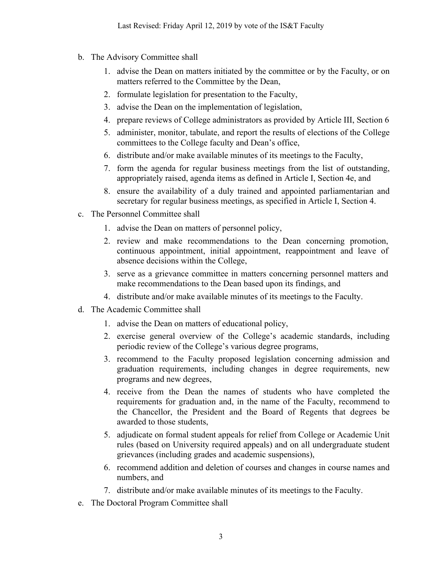- b. The Advisory Committee shall
	- 1. advise the Dean on matters initiated by the committee or by the Faculty, or on matters referred to the Committee by the Dean,
	- 2. formulate legislation for presentation to the Faculty,
	- 3. advise the Dean on the implementation of legislation,
	- 4. prepare reviews of College administrators as provided by Article III, Section 6
	- 5. administer, monitor, tabulate, and report the results of elections of the College committees to the College faculty and Dean's office,
	- 6. distribute and/or make available minutes of its meetings to the Faculty,
	- 7. form the agenda for regular business meetings from the list of outstanding, appropriately raised, agenda items as defined in Article I, Section 4e, and
	- 8. ensure the availability of a duly trained and appointed parliamentarian and secretary for regular business meetings, as specified in Article I, Section 4.
- c. The Personnel Committee shall
	- 1. advise the Dean on matters of personnel policy,
	- 2. review and make recommendations to the Dean concerning promotion, continuous appointment, initial appointment, reappointment and leave of absence decisions within the College,
	- 3. serve as a grievance committee in matters concerning personnel matters and make recommendations to the Dean based upon its findings, and
	- 4. distribute and/or make available minutes of its meetings to the Faculty.
- d. The Academic Committee shall
	- 1. advise the Dean on matters of educational policy,
	- 2. exercise general overview of the College's academic standards, including periodic review of the College's various degree programs,
	- 3. recommend to the Faculty proposed legislation concerning admission and graduation requirements, including changes in degree requirements, new programs and new degrees,
	- 4. receive from the Dean the names of students who have completed the requirements for graduation and, in the name of the Faculty, recommend to the Chancellor, the President and the Board of Regents that degrees be awarded to those students,
	- 5. adjudicate on formal student appeals for relief from College or Academic Unit rules (based on University required appeals) and on all undergraduate student grievances (including grades and academic suspensions),
	- 6. recommend addition and deletion of courses and changes in course names and numbers, and
	- 7. distribute and/or make available minutes of its meetings to the Faculty.
- e. The Doctoral Program Committee shall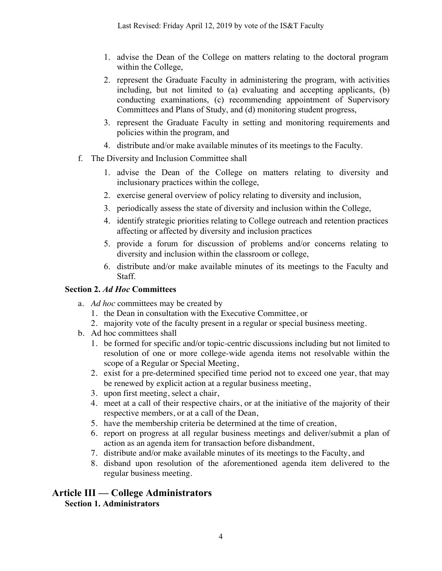- 1. advise the Dean of the College on matters relating to the doctoral program within the College,
- 2. represent the Graduate Faculty in administering the program, with activities including, but not limited to (a) evaluating and accepting applicants, (b) conducting examinations, (c) recommending appointment of Supervisory Committees and Plans of Study, and (d) monitoring student progress,
- 3. represent the Graduate Faculty in setting and monitoring requirements and policies within the program, and
- 4. distribute and/or make available minutes of its meetings to the Faculty.
- f. The Diversity and Inclusion Committee shall
	- 1. advise the Dean of the College on matters relating to diversity and inclusionary practices within the college,
	- 2. exercise general overview of policy relating to diversity and inclusion,
	- 3. periodically assess the state of diversity and inclusion within the College,
	- 4. identify strategic priorities relating to College outreach and retention practices affecting or affected by diversity and inclusion practices
	- 5. provide a forum for discussion of problems and/or concerns relating to diversity and inclusion within the classroom or college,
	- 6. distribute and/or make available minutes of its meetings to the Faculty and Staff.

### **Section 2.** *Ad Hoc* **Committees**

- a. *Ad hoc* committees may be created by
	- 1. the Dean in consultation with the Executive Committee, or
	- 2. majority vote of the faculty present in a regular or special business meeting.
- b. Ad hoc committees shall
	- 1. be formed for specific and/or topic-centric discussions including but not limited to resolution of one or more college-wide agenda items not resolvable within the scope of a Regular or Special Meeting,
	- 2. exist for a pre-determined specified time period not to exceed one year, that may be renewed by explicit action at a regular business meeting,
	- 3. upon first meeting, select a chair,
	- 4. meet at a call of their respective chairs, or at the initiative of the majority of their respective members, or at a call of the Dean,
	- 5. have the membership criteria be determined at the time of creation,
	- 6. report on progress at all regular business meetings and deliver/submit a plan of action as an agenda item for transaction before disbandment,
	- 7. distribute and/or make available minutes of its meetings to the Faculty, and
	- 8. disband upon resolution of the aforementioned agenda item delivered to the regular business meeting.

## **Article III — College Administrators**

**Section 1. Administrators**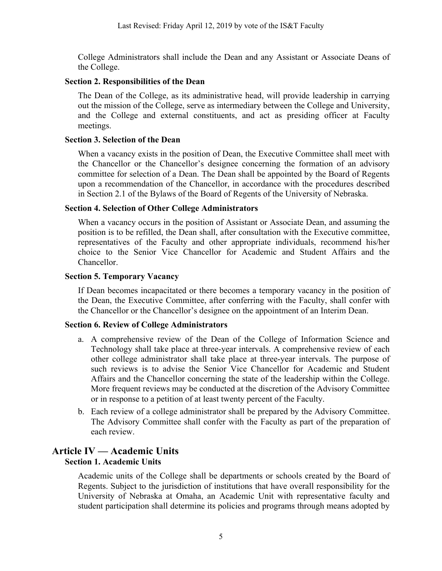College Administrators shall include the Dean and any Assistant or Associate Deans of the College.

#### **Section 2. Responsibilities of the Dean**

The Dean of the College, as its administrative head, will provide leadership in carrying out the mission of the College, serve as intermediary between the College and University, and the College and external constituents, and act as presiding officer at Faculty meetings.

### **Section 3. Selection of the Dean**

When a vacancy exists in the position of Dean, the Executive Committee shall meet with the Chancellor or the Chancellor's designee concerning the formation of an advisory committee for selection of a Dean. The Dean shall be appointed by the Board of Regents upon a recommendation of the Chancellor, in accordance with the procedures described in Section 2.1 of the Bylaws of the Board of Regents of the University of Nebraska.

### **Section 4. Selection of Other College Administrators**

When a vacancy occurs in the position of Assistant or Associate Dean, and assuming the position is to be refilled, the Dean shall, after consultation with the Executive committee, representatives of the Faculty and other appropriate individuals, recommend his/her choice to the Senior Vice Chancellor for Academic and Student Affairs and the Chancellor.

### **Section 5. Temporary Vacancy**

If Dean becomes incapacitated or there becomes a temporary vacancy in the position of the Dean, the Executive Committee, after conferring with the Faculty, shall confer with the Chancellor or the Chancellor's designee on the appointment of an Interim Dean.

### **Section 6. Review of College Administrators**

- a. A comprehensive review of the Dean of the College of Information Science and Technology shall take place at three-year intervals. A comprehensive review of each other college administrator shall take place at three-year intervals. The purpose of such reviews is to advise the Senior Vice Chancellor for Academic and Student Affairs and the Chancellor concerning the state of the leadership within the College. More frequent reviews may be conducted at the discretion of the Advisory Committee or in response to a petition of at least twenty percent of the Faculty.
- b. Each review of a college administrator shall be prepared by the Advisory Committee. The Advisory Committee shall confer with the Faculty as part of the preparation of each review.

## **Article IV — Academic Units**

### **Section 1. Academic Units**

Academic units of the College shall be departments or schools created by the Board of Regents. Subject to the jurisdiction of institutions that have overall responsibility for the University of Nebraska at Omaha, an Academic Unit with representative faculty and student participation shall determine its policies and programs through means adopted by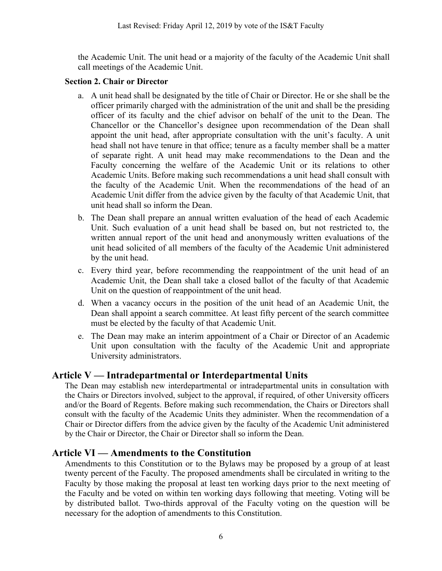the Academic Unit. The unit head or a majority of the faculty of the Academic Unit shall call meetings of the Academic Unit.

### **Section 2. Chair or Director**

- a. A unit head shall be designated by the title of Chair or Director. He or she shall be the officer primarily charged with the administration of the unit and shall be the presiding officer of its faculty and the chief advisor on behalf of the unit to the Dean. The Chancellor or the Chancellor's designee upon recommendation of the Dean shall appoint the unit head, after appropriate consultation with the unit's faculty. A unit head shall not have tenure in that office; tenure as a faculty member shall be a matter of separate right. A unit head may make recommendations to the Dean and the Faculty concerning the welfare of the Academic Unit or its relations to other Academic Units. Before making such recommendations a unit head shall consult with the faculty of the Academic Unit. When the recommendations of the head of an Academic Unit differ from the advice given by the faculty of that Academic Unit, that unit head shall so inform the Dean.
- b. The Dean shall prepare an annual written evaluation of the head of each Academic Unit. Such evaluation of a unit head shall be based on, but not restricted to, the written annual report of the unit head and anonymously written evaluations of the unit head solicited of all members of the faculty of the Academic Unit administered by the unit head.
- c. Every third year, before recommending the reappointment of the unit head of an Academic Unit, the Dean shall take a closed ballot of the faculty of that Academic Unit on the question of reappointment of the unit head.
- d. When a vacancy occurs in the position of the unit head of an Academic Unit, the Dean shall appoint a search committee. At least fifty percent of the search committee must be elected by the faculty of that Academic Unit.
- e. The Dean may make an interim appointment of a Chair or Director of an Academic Unit upon consultation with the faculty of the Academic Unit and appropriate University administrators.

## **Article V — Intradepartmental or Interdepartmental Units**

The Dean may establish new interdepartmental or intradepartmental units in consultation with the Chairs or Directors involved, subject to the approval, if required, of other University officers and/or the Board of Regents. Before making such recommendation, the Chairs or Directors shall consult with the faculty of the Academic Units they administer. When the recommendation of a Chair or Director differs from the advice given by the faculty of the Academic Unit administered by the Chair or Director, the Chair or Director shall so inform the Dean.

## **Article VI — Amendments to the Constitution**

Amendments to this Constitution or to the Bylaws may be proposed by a group of at least twenty percent of the Faculty. The proposed amendments shall be circulated in writing to the Faculty by those making the proposal at least ten working days prior to the next meeting of the Faculty and be voted on within ten working days following that meeting. Voting will be by distributed ballot. Two-thirds approval of the Faculty voting on the question will be necessary for the adoption of amendments to this Constitution.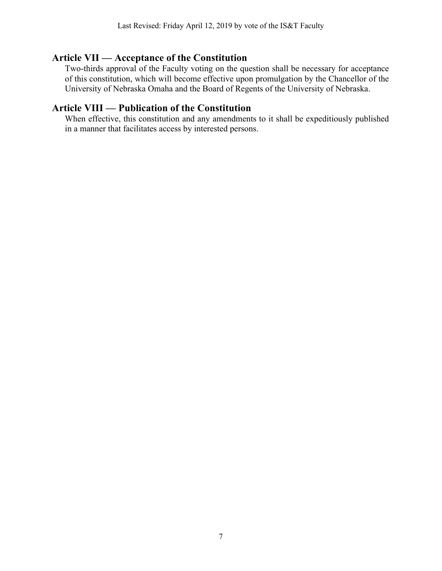### **Article VII — Acceptance of the Constitution**

Two-thirds approval of the Faculty voting on the question shall be necessary for acceptance of this constitution, which will become effective upon promulgation by the Chancellor of the University of Nebraska Omaha and the Board of Regents of the University of Nebraska.

### **Article VIII — Publication of the Constitution**

When effective, this constitution and any amendments to it shall be expeditiously published in a manner that facilitates access by interested persons.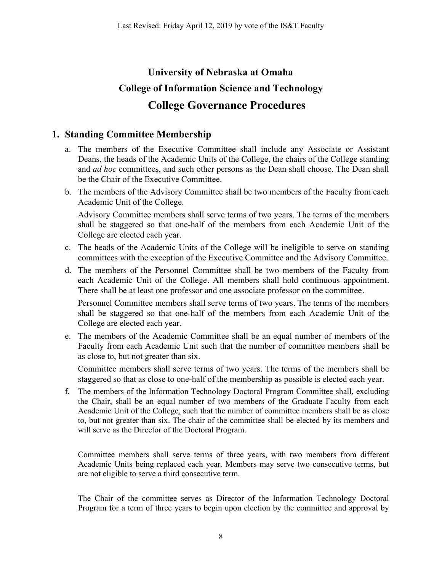# **University of Nebraska at Omaha College of Information Science and Technology College Governance Procedures**

## **1. Standing Committee Membership**

- a. The members of the Executive Committee shall include any Associate or Assistant Deans, the heads of the Academic Units of the College, the chairs of the College standing and *ad hoc* committees, and such other persons as the Dean shall choose. The Dean shall be the Chair of the Executive Committee.
- b. The members of the Advisory Committee shall be two members of the Faculty from each Academic Unit of the College.

Advisory Committee members shall serve terms of two years. The terms of the members shall be staggered so that one-half of the members from each Academic Unit of the College are elected each year.

- c. The heads of the Academic Units of the College will be ineligible to serve on standing committees with the exception of the Executive Committee and the Advisory Committee.
- d. The members of the Personnel Committee shall be two members of the Faculty from each Academic Unit of the College. All members shall hold continuous appointment. There shall be at least one professor and one associate professor on the committee.

Personnel Committee members shall serve terms of two years. The terms of the members shall be staggered so that one-half of the members from each Academic Unit of the College are elected each year.

e. The members of the Academic Committee shall be an equal number of members of the Faculty from each Academic Unit such that the number of committee members shall be as close to, but not greater than six.

Committee members shall serve terms of two years. The terms of the members shall be staggered so that as close to one-half of the membership as possible is elected each year.

f. The members of the Information Technology Doctoral Program Committee shall, excluding the Chair, shall be an equal number of two members of the Graduate Faculty from each Academic Unit of the College. such that the number of committee members shall be as close to, but not greater than six. The chair of the committee shall be elected by its members and will serve as the Director of the Doctoral Program.

Committee members shall serve terms of three years, with two members from different Academic Units being replaced each year. Members may serve two consecutive terms, but are not eligible to serve a third consecutive term.

The Chair of the committee serves as Director of the Information Technology Doctoral Program for a term of three years to begin upon election by the committee and approval by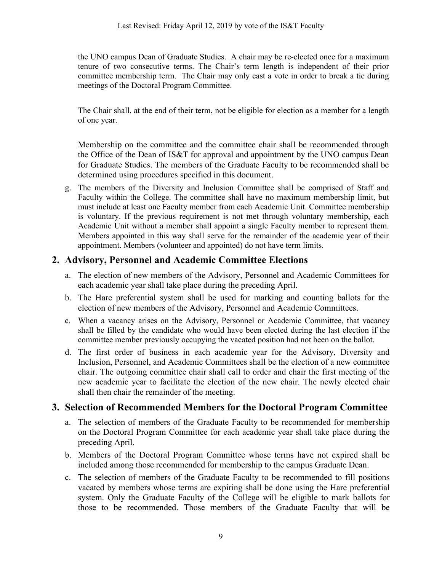the UNO campus Dean of Graduate Studies. A chair may be re-elected once for a maximum tenure of two consecutive terms. The Chair's term length is independent of their prior committee membership term. The Chair may only cast a vote in order to break a tie during meetings of the Doctoral Program Committee.

The Chair shall, at the end of their term, not be eligible for election as a member for a length of one year.

Membership on the committee and the committee chair shall be recommended through the Office of the Dean of IS&T for approval and appointment by the UNO campus Dean for Graduate Studies. The members of the Graduate Faculty to be recommended shall be determined using procedures specified in this document.

g. The members of the Diversity and Inclusion Committee shall be comprised of Staff and Faculty within the College. The committee shall have no maximum membership limit, but must include at least one Faculty member from each Academic Unit. Committee membership is voluntary. If the previous requirement is not met through voluntary membership, each Academic Unit without a member shall appoint a single Faculty member to represent them. Members appointed in this way shall serve for the remainder of the academic year of their appointment. Members (volunteer and appointed) do not have term limits.

## **2. Advisory, Personnel and Academic Committee Elections**

- a. The election of new members of the Advisory, Personnel and Academic Committees for each academic year shall take place during the preceding April.
- b. The Hare preferential system shall be used for marking and counting ballots for the election of new members of the Advisory, Personnel and Academic Committees.
- c. When a vacancy arises on the Advisory, Personnel or Academic Committee, that vacancy shall be filled by the candidate who would have been elected during the last election if the committee member previously occupying the vacated position had not been on the ballot.
- d. The first order of business in each academic year for the Advisory, Diversity and Inclusion, Personnel, and Academic Committees shall be the election of a new committee chair. The outgoing committee chair shall call to order and chair the first meeting of the new academic year to facilitate the election of the new chair. The newly elected chair shall then chair the remainder of the meeting.

## **3. Selection of Recommended Members for the Doctoral Program Committee**

- a. The selection of members of the Graduate Faculty to be recommended for membership on the Doctoral Program Committee for each academic year shall take place during the preceding April.
- b. Members of the Doctoral Program Committee whose terms have not expired shall be included among those recommended for membership to the campus Graduate Dean.
- c. The selection of members of the Graduate Faculty to be recommended to fill positions vacated by members whose terms are expiring shall be done using the Hare preferential system. Only the Graduate Faculty of the College will be eligible to mark ballots for those to be recommended. Those members of the Graduate Faculty that will be